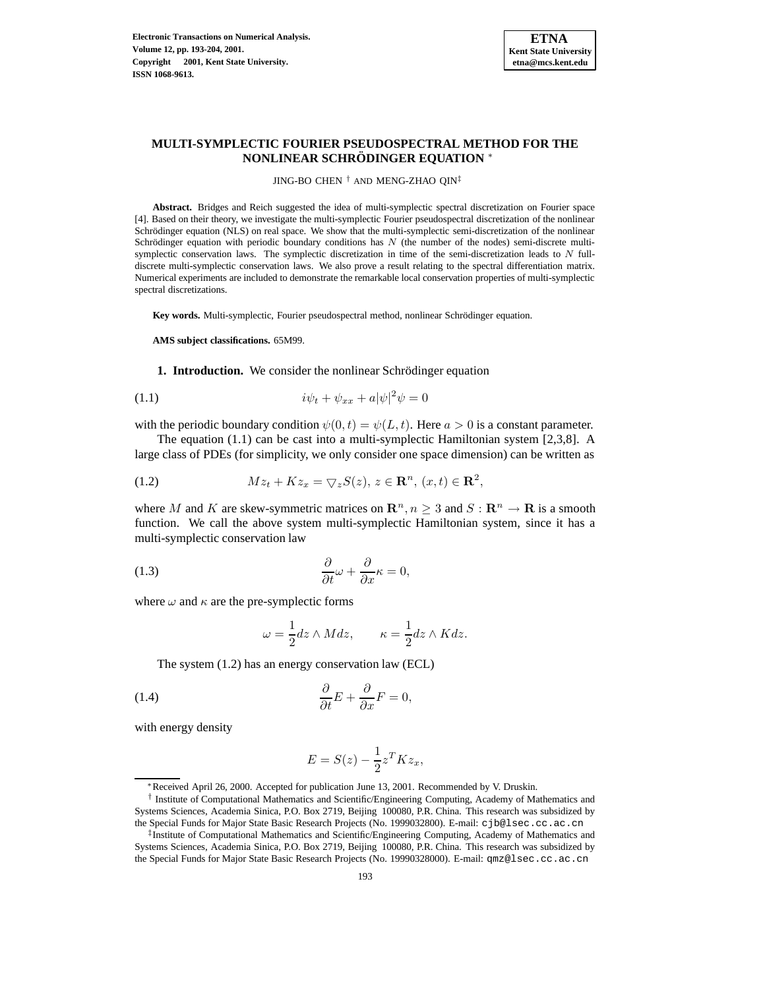

# **MULTI-SYMPLECTIC FOURIER PSEUDOSPECTRAL METHOD FOR THE NONLINEAR SCHRODINGER ¨ EQUATION** <sup>∗</sup>

JING-BO CHEN † AND MENG-ZHAO QIN‡

**Abstract.** Bridges and Reich suggested the idea of multi-symplectic spectral discretization on Fourier space [4]. Based on their theory, we investigate the multi-symplectic Fourier pseudospectral discretization of the nonlinear Schrödinger equation (NLS) on real space. We show that the multi-symplectic semi-discretization of the nonlinear Schrödinger equation with periodic boundary conditions has  $N$  (the number of the nodes) semi-discrete multisymplectic conservation laws. The symplectic discretization in time of the semi-discretization leads to N fulldiscrete multi-symplectic conservation laws. We also prove a result relating to the spectral differentiation matrix. Numerical experiments are included to demonstrate the remarkable local conservation properties of multi-symplectic spectral discretizations.

Key words. Multi-symplectic, Fourier pseudospectral method, nonlinear Schrödinger equation.

**AMS subject classifications.** 65M99.

**1. Introduction.** We consider the nonlinear Schrödinger equation

$$
(1.1)\qquad \qquad i\psi_t + \psi_{xx} + a|\psi|^2\psi = 0
$$

with the periodic boundary condition  $\psi(0,t) = \psi(L,t)$ . Here  $a > 0$  is a constant parameter.

The equation (1.1) can be cast into a multi-symplectic Hamiltonian system [2,3,8]. A large class of PDEs (for simplicity, we only consider one space dimension) can be written as

(1.2) 
$$
Mz_t + Kz_x = \nabla_z S(z), z \in \mathbf{R}^n, (x, t) \in \mathbf{R}^2,
$$

where M and K are skew-symmetric matrices on  $\mathbb{R}^n, n \geq 3$  and  $S : \mathbb{R}^n \to \mathbb{R}$  is a smooth function. We call the above system multi-symplectic Hamiltonian system, since it has a multi-symplectic conservation law

(1.3) 
$$
\frac{\partial}{\partial t}\omega + \frac{\partial}{\partial x}\kappa = 0,
$$

where  $\omega$  and  $\kappa$  are the pre-symplectic forms

$$
\omega = \frac{1}{2} dz \wedge M dz, \qquad \kappa = \frac{1}{2} dz \wedge K dz.
$$

The system (1.2) has an energy conservation law (ECL)

(1.4) 
$$
\frac{\partial}{\partial t}E + \frac{\partial}{\partial x}F = 0,
$$

with energy density

$$
E = S(z) - \frac{1}{2}z^T K z_x,
$$

<sup>∗</sup>Received April 26, 2000. Accepted for publication June 13, 2001. Recommended by V. Druskin.

<sup>†</sup> Institute of Computational Mathematics and Scientific/Engineering Computing, Academy of Mathematics and Systems Sciences, Academia Sinica, P.O. Box 2719, Beijing 100080, P.R. China. This research was subsidized by the Special Funds for Major State Basic Research Projects (No. 1999032800). E-mail: cjb@lsec.cc.ac.cn

<sup>‡</sup> Institute of Computational Mathematics and Scientific/Engineering Computing, Academy of Mathematics and Systems Sciences, Academia Sinica, P.O. Box 2719, Beijing 100080, P.R. China. This research was subsidized by the Special Funds for Major State Basic Research Projects (No. 19990328000). E-mail: qmz@lsec.cc.ac.cn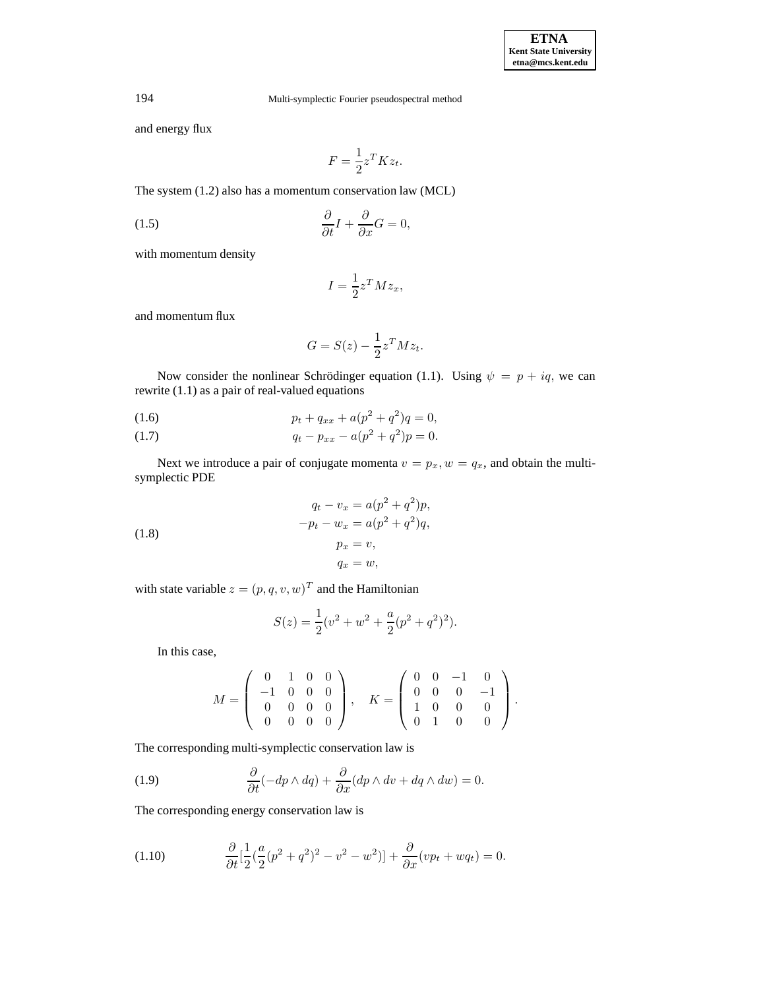and energy flux

$$
F = \frac{1}{2} z^T K z_t.
$$

The system (1.2) also has a momentum conservation law (MCL)

(1.5) 
$$
\frac{\partial}{\partial t}I + \frac{\partial}{\partial x}G = 0,
$$

with momentum density

$$
I = \frac{1}{2} z^T M z_x,
$$

and momentum flux

$$
G = S(z) - \frac{1}{2}z^T M z_t.
$$

Now consider the nonlinear Schrödinger equation (1.1). Using  $\psi = p + iq$ , we can rewrite (1.1) as a pair of real-valued equations

(1.6) 
$$
p_t + q_{xx} + a(p^2 + q^2)q = 0,
$$

(1.7) 
$$
q_t - p_{xx} - a(p^2 + q^2)p = 0.
$$

Next we introduce a pair of conjugate momenta  $v = p_x, w = q_x$ , and obtain the multisymplectic PDE

(1.8) 
$$
q_t - v_x = a(p^2 + q^2)p,
$$

$$
-p_t - w_x = a(p^2 + q^2)q,
$$

$$
p_x = v,
$$

$$
q_x = w,
$$

with state variable  $z = (p, q, v, w)^T$  and the Hamiltonian

$$
S(z) = \frac{1}{2}(v^2 + w^2 + \frac{a}{2}(p^2 + q^2)^2).
$$

In this case,

$$
M = \left(\begin{array}{cccc} 0 & 1 & 0 & 0 \\ -1 & 0 & 0 & 0 \\ 0 & 0 & 0 & 0 \\ 0 & 0 & 0 & 0 \end{array}\right), \quad K = \left(\begin{array}{cccc} 0 & 0 & -1 & 0 \\ 0 & 0 & 0 & -1 \\ 1 & 0 & 0 & 0 \\ 0 & 1 & 0 & 0 \end{array}\right).
$$

The corresponding multi-symplectic conservation law is

(1.9) 
$$
\frac{\partial}{\partial t}(-dp \wedge dq) + \frac{\partial}{\partial x}(dp \wedge dv + dq \wedge dw) = 0.
$$

The corresponding energy conservation law is

(1.10) 
$$
\frac{\partial}{\partial t} \left[ \frac{1}{2} (\frac{a}{2} (p^2 + q^2)^2 - v^2 - w^2) \right] + \frac{\partial}{\partial x} (v p_t + w q_t) = 0.
$$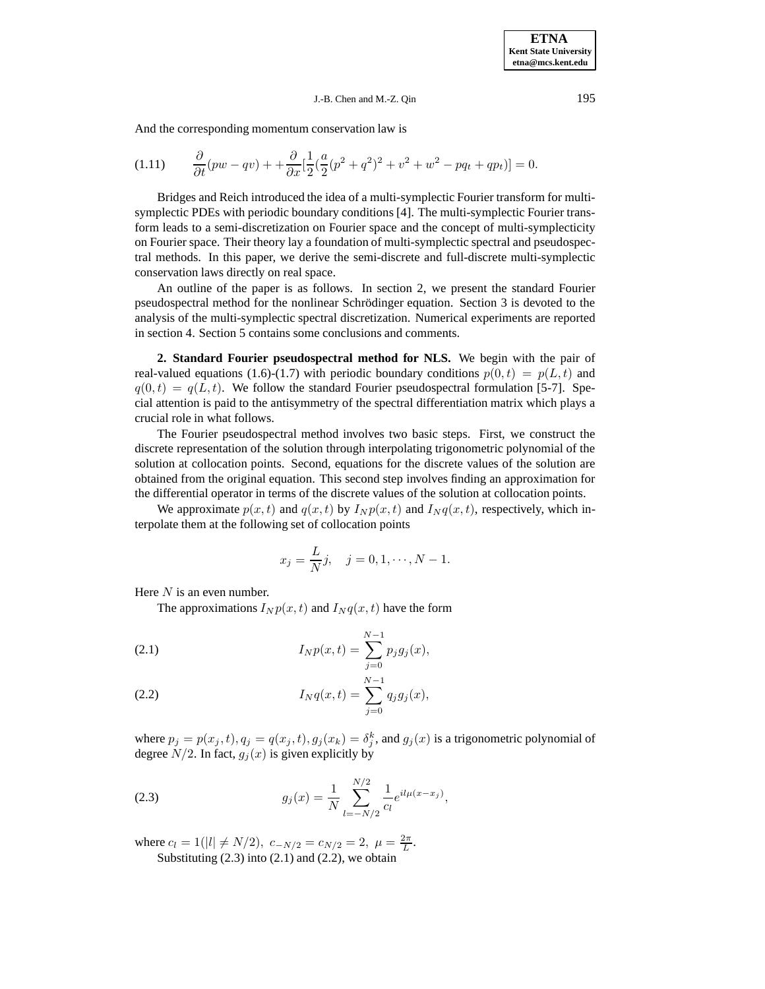### J.-B. Chen and M.-Z. Qin 195

And the corresponding momentum conservation law is

$$
(1.11) \qquad \frac{\partial}{\partial t}(pw - qv) + \frac{\partial}{\partial x}[\frac{1}{2}(\frac{a}{2}(p^2 + q^2)^2 + v^2 + w^2 - pq_t + qp_t)] = 0.
$$

Bridges and Reich introduced the idea of a multi-symplectic Fourier transform for multisymplectic PDEs with periodic boundary conditions [4]. The multi-symplectic Fourier transform leads to a semi-discretization on Fourier space and the concept of multi-symplecticity on Fourier space. Their theory lay a foundation of multi-symplectic spectral and pseudospectral methods. In this paper, we derive the semi-discrete and full-discrete multi-symplectic conservation laws directly on real space.

An outline of the paper is as follows. In section 2, we present the standard Fourier pseudospectral method for the nonlinear Schrödinger equation. Section  $3$  is devoted to the analysis of the multi-symplectic spectral discretization. Numerical experiments are reported in section 4. Section 5 contains some conclusions and comments.

**2. Standard Fourier pseudospectral method for NLS.** We begin with the pair of real-valued equations (1.6)-(1.7) with periodic boundary conditions  $p(0,t) = p(L,t)$  and  $q(0,t) = q(L,t)$ . We follow the standard Fourier pseudospectral formulation [5-7]. Special attention is paid to the antisymmetry of the spectral differentiation matrix which plays a crucial role in what follows.

The Fourier pseudospectral method involves two basic steps. First, we construct the discrete representation of the solution through interpolating trigonometric polynomial of the solution at collocation points. Second, equations for the discrete values of the solution are obtained from the original equation. This second step involves finding an approximation for the differential operator in terms of the discrete values of the solution at collocation points.

We approximate  $p(x,t)$  and  $q(x,t)$  by  $I_N p(x,t)$  and  $I_N q(x,t)$ , respectively, which interpolate them at the following set of collocation points

$$
x_j = \frac{L}{N}j
$$
,  $j = 0, 1, \dots, N - 1$ .

Here  $N$  is an even number.

The approximations  $I_N p(x,t)$  and  $I_N q(x,t)$  have the form

(2.1) 
$$
I_N p(x,t) = \sum_{j=0}^{N-1} p_j g_j(x),
$$

(2.2) 
$$
I_N q(x,t) = \sum_{j=0}^{N-1} q_j g_j(x),
$$

where  $p_j = p(x_j, t), q_j = q(x_j, t), g_j(x_k) = \delta_j^k$ , and  $g_j(x)$  is a trigonometric polynomial of degree  $N/2$ . In fact,  $g_j(x)$  is given explicitly by

(2.3) 
$$
g_j(x) = \frac{1}{N} \sum_{l=-N/2}^{N/2} \frac{1}{c_l} e^{il\mu(x-x_j)},
$$

where  $c_l = 1(|l| \neq N/2)$ ,  $c_{-N/2} = c_{N/2} = 2$ ,  $\mu = \frac{2\pi}{L}$ . Substituting  $(2.3)$  into  $(2.1)$  and  $(2.2)$ , we obtain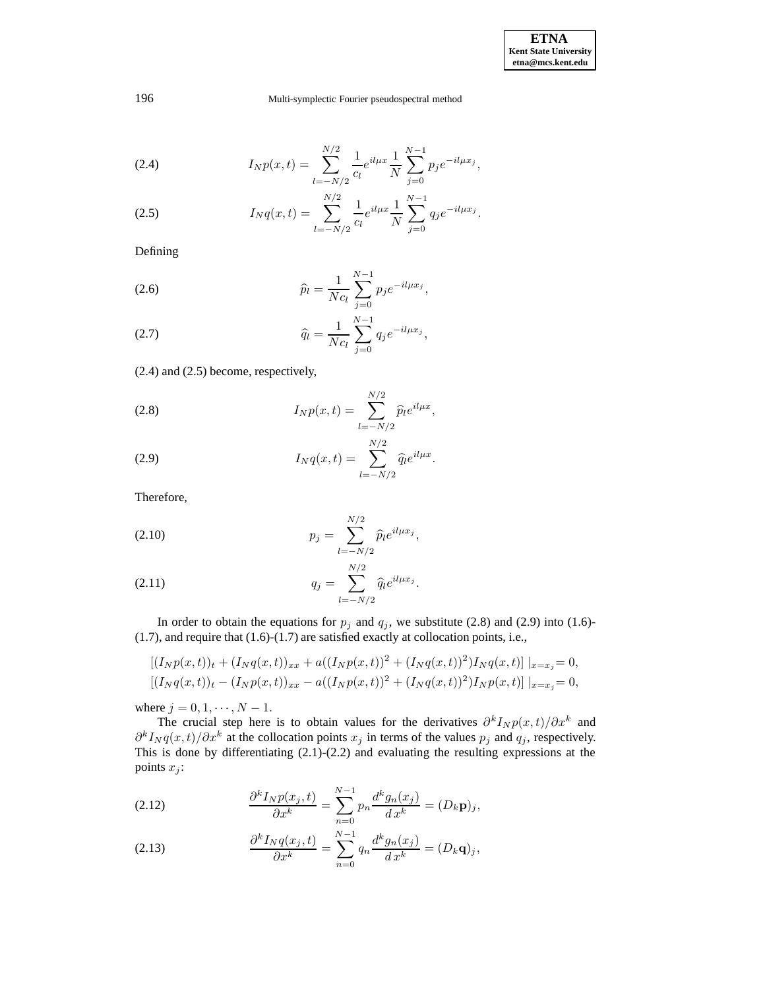(2.4) 
$$
I_N p(x,t) = \sum_{l=-N/2}^{N/2} \frac{1}{c_l} e^{il\mu x} \frac{1}{N} \sum_{j=0}^{N-1} p_j e^{-il\mu x_j},
$$

(2.5) 
$$
I_N q(x,t) = \sum_{l=-N/2}^{N/2} \frac{1}{c_l} e^{il\mu x} \frac{1}{N} \sum_{j=0}^{N-1} q_j e^{-il\mu x_j}.
$$

Defining

(2.6) 
$$
\widehat{p}_l = \frac{1}{Nc_l} \sum_{j=0}^{N-1} p_j e^{-il\mu x_j},
$$

(2.7) 
$$
\widehat{q}_l = \frac{1}{Nc_l} \sum_{j=0}^{N-1} q_j e^{-il\mu x_j},
$$

(2.4) and (2.5) become, respectively,

(2.8) 
$$
I_N p(x,t) = \sum_{l=-N/2}^{N/2} \widehat{p}_l e^{il\mu x},
$$

(2.9) 
$$
I_N q(x,t) = \sum_{l=-N/2}^{N/2} \hat{q}_l e^{il\mu x}.
$$

Therefore,

(2.10) 
$$
p_j = \sum_{l=-N/2}^{N/2} \widehat{p}_l e^{il\mu x_j},
$$

(2.11) 
$$
q_j = \sum_{l=-N/2}^{N/2} \widehat{q}_l e^{il\mu x_j}.
$$

In order to obtain the equations for  $p_j$  and  $q_j$ , we substitute (2.8) and (2.9) into (1.6)-(1.7), and require that (1.6)-(1.7) are satisfied exactly at collocation points, i.e.,

$$
[(I_Np(x,t))_t + (I_Nq(x,t))_{xx} + a((I_Np(x,t))^2 + (I_Nq(x,t))^2)I_Nq(x,t)]\big|_{x=x_j} = 0,
$$
  

$$
[(I_Nq(x,t))_t - (I_Np(x,t))_{xx} - a((I_Np(x,t))^2 + (I_Nq(x,t))^2)I_Np(x,t)]\big|_{x=x_j} = 0,
$$

where  $j = 0, 1, \dots, N - 1$ .

The crucial step here is to obtain values for the derivatives  $\partial^k I_N p(x,t)/\partial x^k$  and  $\partial^k I_N q(x,t)/\partial x^k$  at the collocation points  $x_j$  in terms of the values  $p_j$  and  $q_j$ , respectively. This is done by differentiating (2.1)-(2.2) and evaluating the resulting expressions at the points  $x_j$ :

(2.12) 
$$
\frac{\partial^k I_N p(x_j, t)}{\partial x^k} = \sum_{n=0}^{N-1} p_n \frac{d^k g_n(x_j)}{dx^k} = (D_k \mathbf{p})_j,
$$

(2.13) 
$$
\frac{\partial^k I_N q(x_j, t)}{\partial x^k} = \sum_{n=0}^{N-1} q_n \frac{d^k g_n(x_j)}{dx^k} = (D_k \mathbf{q})_j,
$$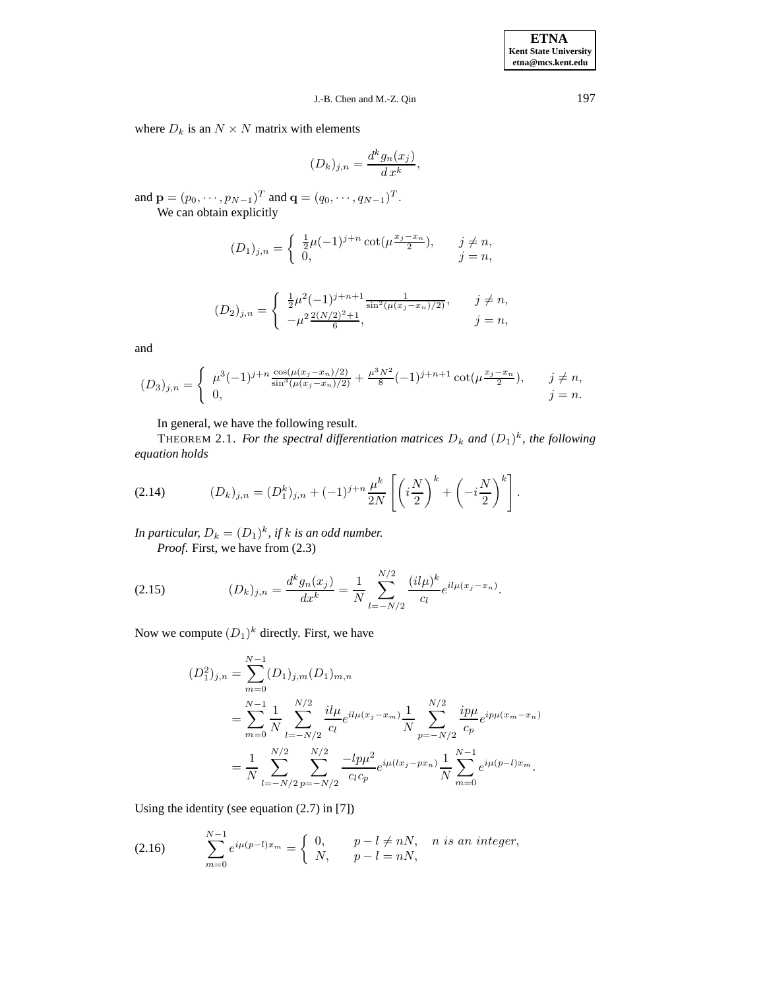## J.-B. Chen and M.-Z. Qin 197

where  $D_k$  is an  $N \times N$  matrix with elements

$$
(D_k)_{j,n} = \frac{d^k g_n(x_j)}{d x^k},
$$

and  $\mathbf{p} = (p_0, \dots, p_{N-1})^T$  and  $\mathbf{q} = (q_0, \dots, q_{N-1})^T$ . We can obtain explicitly

> $(D_1)_{j,n} =$  $\int \frac{1}{2}\mu(-1)^{j+n} \cot(\mu \frac{x_j-x_n}{2})$  $\frac{-x_n}{2}$ ,  $j \neq n$ , 0,  $j = n$ ,

$$
(D_2)_{j,n} = \begin{cases} \frac{1}{2}\mu^2(-1)^{j+n+1}\frac{1}{\sin^2(\mu(x_j - x_n)/2)}, & j \neq n, \\ -\mu^2\frac{2(N/2)^2 + 1}{6}, & j = n, \end{cases}
$$

and

$$
(D_3)_{j,n} = \begin{cases} \mu^3(-1)^{j+n} \frac{\cos(\mu(x_j - x_n)/2)}{\sin^3(\mu(x_j - x_n)/2)} + \frac{\mu^3 N^2}{8}(-1)^{j+n+1} \cot(\mu \frac{x_j - x_n}{2}), & j \neq n, \\ 0, & j = n. \end{cases}
$$

In general, we have the following result.

THEOREM 2.1. *For the spectral differentiation matrices*  $D_k$  and  $(D_1)^k$ , the following *equation holds*

(2.14) 
$$
(D_k)_{j,n} = (D_1^k)_{j,n} + (-1)^{j+n} \frac{\mu^k}{2N} \left[ \left( i \frac{N}{2} \right)^k + \left( -i \frac{N}{2} \right)^k \right].
$$

In particular,  $D_k = (D_1)^k$ , if  $k$  is an odd number. *Proof*. First, we have from (2.3)

(2.15) 
$$
(D_k)_{j,n} = \frac{d^k g_n(x_j)}{dx^k} = \frac{1}{N} \sum_{l=-N/2}^{N/2} \frac{(il\mu)^k}{c_l} e^{il\mu(x_j - x_n)}.
$$

Now we compute  $(D_1)^k$  directly. First, we have

$$
(D_1^2)_{j,n} = \sum_{m=0}^{N-1} (D_1)_{j,m} (D_1)_{m,n}
$$
  
= 
$$
\sum_{m=0}^{N-1} \frac{1}{N} \sum_{l=-N/2}^{N/2} \frac{i l \mu}{c_l} e^{i l \mu (x_j - x_m)} \frac{1}{N} \sum_{p=-N/2}^{N/2} \frac{i p \mu}{c_p} e^{i p \mu (x_m - x_n)}
$$
  
= 
$$
\frac{1}{N} \sum_{l=-N/2}^{N/2} \sum_{p=-N/2}^{N/2} \frac{-l p \mu^2}{c_l c_p} e^{i \mu (lx_j - px_n)} \frac{1}{N} \sum_{m=0}^{N-1} e^{i \mu (p-l)x_m}.
$$

Using the identity (see equation (2.7) in [7])

(2.16) 
$$
\sum_{m=0}^{N-1} e^{i\mu(p-l)x_m} = \begin{cases} 0, & p-l \neq nN, & n \text{ is an integer,} \\ N, & p-l = nN, \end{cases}
$$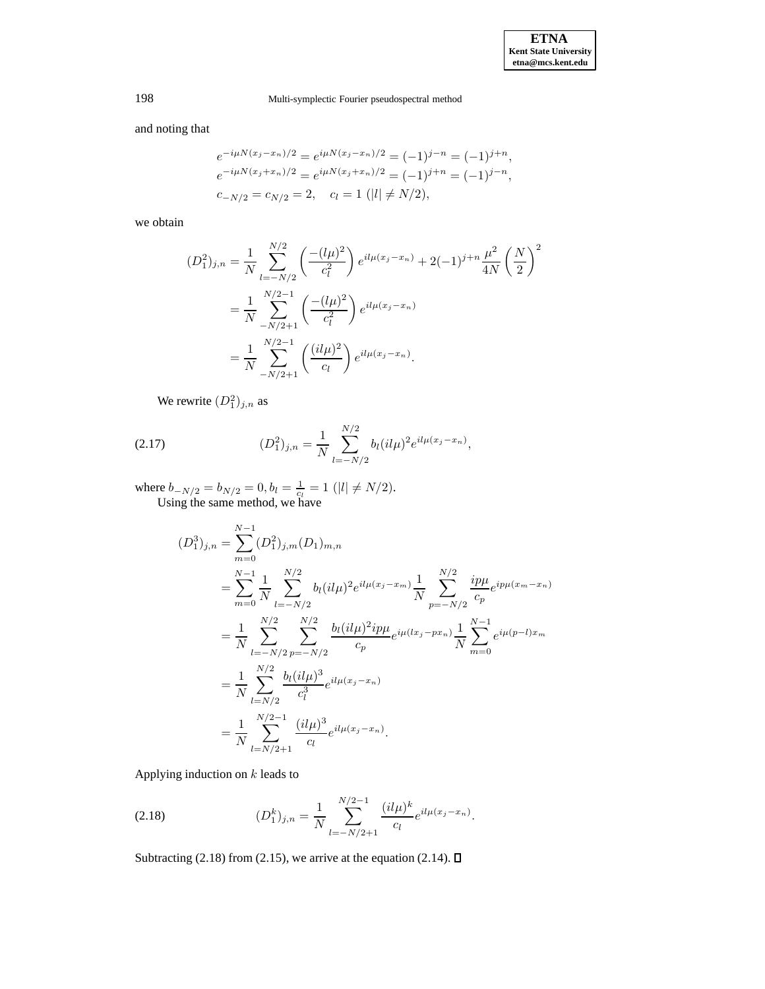and noting that

$$
e^{-i\mu N(x_j - x_n)/2} = e^{i\mu N(x_j - x_n)/2} = (-1)^{j-n} = (-1)^{j+n},
$$
  
\n
$$
e^{-i\mu N(x_j + x_n)/2} = e^{i\mu N(x_j + x_n)/2} = (-1)^{j+n} = (-1)^{j-n},
$$
  
\n
$$
c_{-N/2} = c_{N/2} = 2, \quad c_l = 1 \quad (|l| \neq N/2),
$$

we obtain

$$
(D_1^2)_{j,n} = \frac{1}{N} \sum_{l=-N/2}^{N/2} \left( \frac{-(l\mu)^2}{c_l^2} \right) e^{il\mu(x_j - x_n)} + 2(-1)^{j+n} \frac{\mu^2}{4N} \left( \frac{N}{2} \right)^2
$$
  

$$
= \frac{1}{N} \sum_{-N/2+1}^{N/2-1} \left( \frac{-(l\mu)^2}{c_l^2} \right) e^{il\mu(x_j - x_n)}
$$
  

$$
= \frac{1}{N} \sum_{-N/2+1}^{N/2-1} \left( \frac{(il\mu)^2}{c_l} \right) e^{il\mu(x_j - x_n)}.
$$

We rewrite  $(D_1^2)_{j,n}$  as

(2.17) 
$$
(D_1^2)_{j,n} = \frac{1}{N} \sum_{l=-N/2}^{N/2} b_l (il\mu)^2 e^{il\mu(x_j - x_n)},
$$

where  $b_{-N/2} = b_{N/2} = 0, b_l = \frac{1}{c_l} = 1$  (|l|  $\neq N/2$ ). Using the same method, we have

$$
(D_1^3)_{j,n} = \sum_{m=0}^{N-1} (D_1^2)_{j,m} (D_1)_{m,n}
$$
  
\n
$$
= \sum_{m=0}^{N-1} \frac{1}{N} \sum_{l=-N/2}^{N/2} b_l (il\mu)^2 e^{il\mu(x_j - x_m)} \frac{1}{N} \sum_{p=-N/2}^{N/2} \frac{ip\mu}{c_p} e^{ip\mu(x_m - x_n)}
$$
  
\n
$$
= \frac{1}{N} \sum_{l=-N/2}^{N/2} \sum_{p=-N/2}^{N/2} \frac{b_l (il\mu)^2 ip\mu}{c_p} e^{i\mu(lx_j - px_n)} \frac{1}{N} \sum_{m=0}^{N-1} e^{i\mu(p-l)x_m}
$$
  
\n
$$
= \frac{1}{N} \sum_{l=N/2}^{N/2} \frac{b_l (il\mu)^3}{c_l^3} e^{il\mu(x_j - x_n)}
$$
  
\n
$$
= \frac{1}{N} \sum_{l=N/2+1}^{N/2-1} \frac{(il\mu)^3}{c_l} e^{il\mu(x_j - x_n)}.
$$

Applying induction on  $k$  leads to

(2.18) 
$$
(D_1^k)_{j,n} = \frac{1}{N} \sum_{l=-N/2+1}^{N/2-1} \frac{(il\mu)^k}{c_l} e^{il\mu(x_j - x_n)}.
$$

Subtracting (2.18) from (2.15), we arrive at the equation (2.14).  $\square$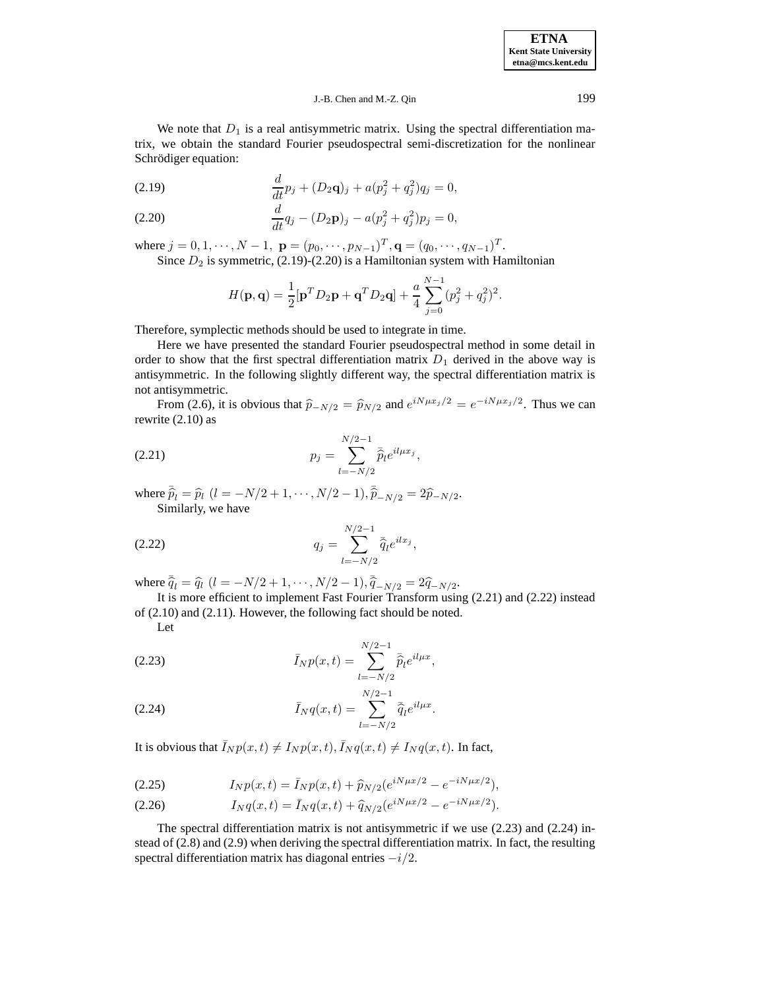J.-B. Chen and M.-Z. Qin 199

We note that  $D_1$  is a real antisymmetric matrix. Using the spectral differentiation matrix, we obtain the standard Fourier pseudospectral semi-discretization for the nonlinear Schrödiger equation:

(2.19) 
$$
\frac{d}{dt}p_j + (D_2 \mathbf{q})_j + a(p_j^2 + q_j^2)q_j = 0,
$$

(2.20) 
$$
\frac{d}{dt}q_j - (D_2\mathbf{p})_j - a(p_j^2 + q_j^2)p_j = 0,
$$

where  $j = 0, 1, \dots, N - 1$ ,  $\mathbf{p} = (p_0, \dots, p_{N-1})^T$ ,  $\mathbf{q} = (q_0, \dots, q_{N-1})^T$ .

Since  $D_2$  is symmetric, (2.19)-(2.20) is a Hamiltonian system with Hamiltonian

$$
H(\mathbf{p}, \mathbf{q}) = \frac{1}{2} [\mathbf{p}^T D_2 \mathbf{p} + \mathbf{q}^T D_2 \mathbf{q}] + \frac{a}{4} \sum_{j=0}^{N-1} (p_j^2 + q_j^2)^2.
$$

Therefore, symplectic methods should be used to integrate in time.

Here we have presented the standard Fourier pseudospectral method in some detail in order to show that the first spectral differentiation matrix  $D_1$  derived in the above way is antisymmetric. In the following slightly different way, the spectral differentiation matrix is not antisymmetric.

From (2.6), it is obvious that  $\hat{p}_{-N/2} = \hat{p}_{N/2}$  and  $e^{iN\mu x_j/2} = e^{-iN\mu x_j/2}$ . Thus we can rewrite (2.10) as

(2.21) 
$$
p_j = \sum_{l=-N/2}^{N/2-1} \bar{\hat{p}}_l e^{il\mu x_j},
$$

where  $\overline{\hat{p}}_l = \hat{p}_l$   $(l = -N/2 + 1, \dots, N/2 - 1), \overline{\hat{p}}_{-N/2} = 2\hat{p}_{-N/2}.$ Similarly, we have

 $q_j =$  $\sum$ /2−1 (2.22)  $q_j = \sum_{l=-N/2} \bar{\hat{q}}_l e^{ilx_j},$ 

where  $\overline{\hat{q}}_l = \hat{q}_l$   $(l = -N/2 + 1, \dots, N/2 - 1), \overline{\hat{q}}_{-N/2} = 2\hat{q}_{-N/2}.$ 

It is more efficient to implement Fast Fourier Transform using (2.21) and (2.22) instead of (2.10) and (2.11). However, the following fact should be noted.

Let

(2.23) 
$$
\bar{I}_N p(x,t) = \sum_{l=-N/2}^{N/2-1} \bar{\hat{p}}_l e^{il\mu x},
$$

(2.24) 
$$
\bar{I}_N q(x,t) = \sum_{l=-N/2}^{N/2-1} \bar{\hat{q}}_l e^{il\mu x}.
$$

It is obvious that  $\bar{I}_N p(x,t) \neq I_N p(x,t), \bar{I}_N q(x,t) \neq I_N q(x,t)$ . In fact,

(2.25) 
$$
I_N p(x,t) = \bar{I}_N p(x,t) + \hat{p}_{N/2} (e^{iN\mu x/2} - e^{-iN\mu x/2}),
$$

(2.26) 
$$
I_N q(x,t) = \bar{I}_N q(x,t) + \hat{q}_{N/2} (e^{iN\mu x/2} - e^{-iN\mu x/2}).
$$

The spectral differentiation matrix is not antisymmetric if we use (2.23) and (2.24) instead of (2.8) and (2.9) when deriving the spectral differentiation matrix. In fact, the resulting spectral differentiation matrix has diagonal entries  $-i/2$ .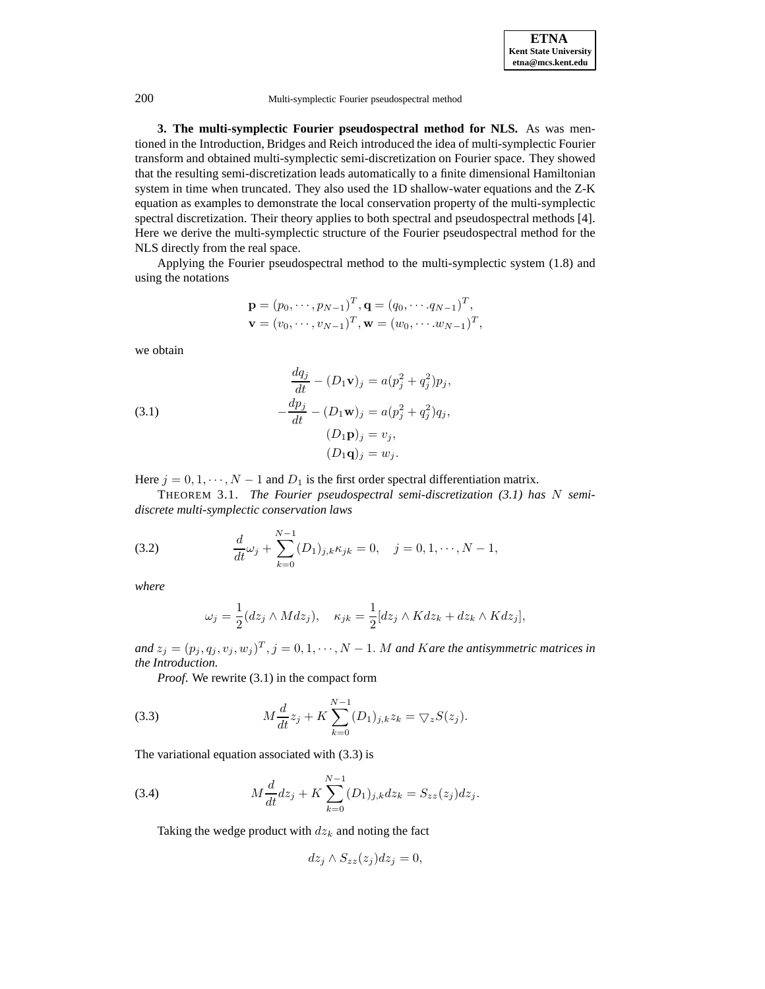**3. The multi-symplectic Fourier pseudospectral method for NLS.** As was mentioned in the Introduction, Bridges and Reich introduced the idea of multi-symplectic Fourier transform and obtained multi-symplectic semi-discretization on Fourier space. They showed that the resulting semi-discretization leads automatically to a finite dimensional Hamiltonian system in time when truncated. They also used the 1D shallow-water equations and the Z-K equation as examples to demonstrate the local conservation property of the multi-symplectic spectral discretization. Their theory applies to both spectral and pseudospectral methods [4]. Here we derive the multi-symplectic structure of the Fourier pseudospectral method for the NLS directly from the real space.

Applying the Fourier pseudospectral method to the multi-symplectic system (1.8) and using the notations

$$
p = (p0,..., pN-1)T, q = (q0,..., qN-1)T,\nv = (v0,..., vN-1)T, w = (w0,..., wN-1)T,
$$

we obtain

(3.1)  
\n
$$
\frac{dq_j}{dt} - (D_1 \mathbf{v})_j = a(p_j^2 + q_j^2)p_j,
$$
\n
$$
-\frac{dp_j}{dt} - (D_1 \mathbf{w})_j = a(p_j^2 + q_j^2)q_j,
$$
\n
$$
(D_1 \mathbf{p})_j = v_j,
$$
\n
$$
(D_1 \mathbf{q})_j = w_j.
$$

Here  $j = 0, 1, \dots, N - 1$  and  $D_1$  is the first order spectral differentiation matrix.

THEOREM 3.1. *The Fourier pseudospectral semi-discretization (3.1) has* N *semidiscrete multi-symplectic conservation laws*

(3.2) 
$$
\frac{d}{dt}\omega_j + \sum_{k=0}^{N-1} (D_1)_{j,k} \kappa_{jk} = 0, \quad j = 0, 1, \cdots, N-1,
$$

*where*

$$
\omega_j = \frac{1}{2}(dz_j \wedge Mdz_j), \quad \kappa_{jk} = \frac{1}{2}[dz_j \wedge Kdz_k + dz_k \wedge Kdz_j],
$$

 $and z_j = (p_j, q_j, v_j, w_j)^T$ ,  $j = 0, 1, \dots, N - 1$ . M and Kare the antisymmetric matrices in *the Introduction.*

*Proof*. We rewrite (3.1) in the compact form

(3.3) 
$$
M\frac{d}{dt}z_j + K\sum_{k=0}^{N-1} (D_1)_{j,k}z_k = \nabla_z S(z_j).
$$

The variational equation associated with (3.3) is

(3.4) 
$$
M\frac{d}{dt}dz_j + K\sum_{k=0}^{N-1} (D_1)_{j,k}dz_k = S_{zz}(z_j)dz_j.
$$

Taking the wedge product with  $dz<sub>k</sub>$  and noting the fact

$$
dz_j \wedge S_{zz}(z_j) dz_j = 0,
$$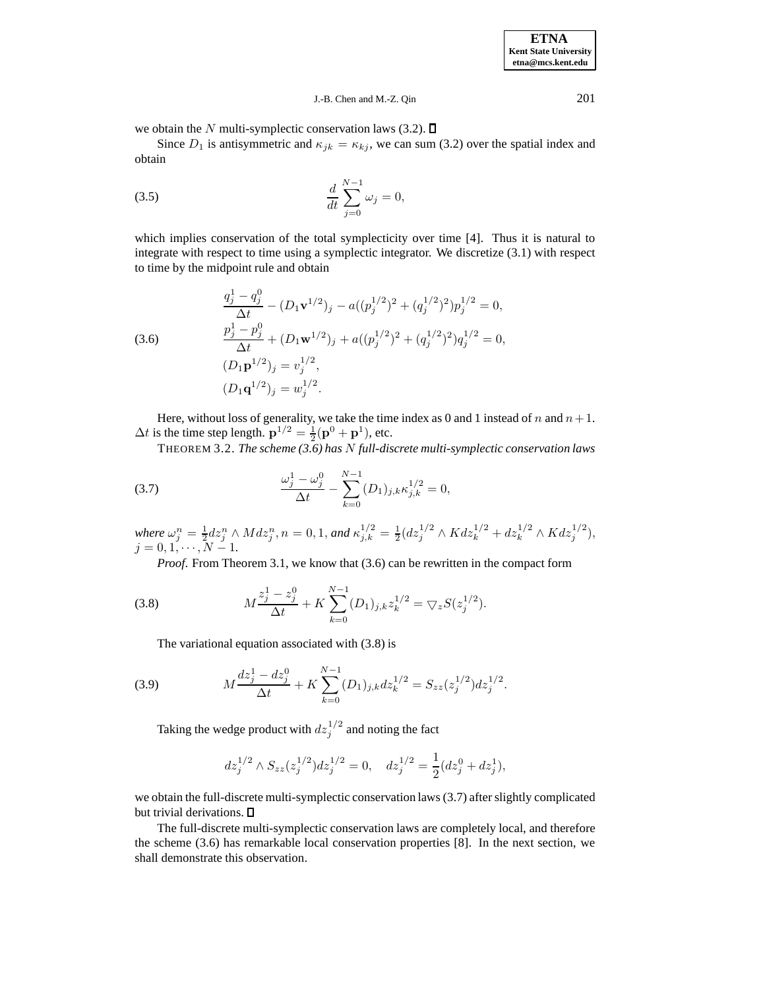$$
J.-B. Chen and M.-Z. Qin
$$

we obtain the N multi-symplectic conservation laws (3.2).  $\Box$ 

Since  $D_1$  is antisymmetric and  $\kappa_{jk} = \kappa_{kj}$ , we can sum (3.2) over the spatial index and obtain

(3.5) 
$$
\frac{d}{dt} \sum_{j=0}^{N-1} \omega_j = 0,
$$

which implies conservation of the total symplecticity over time [4]. Thus it is natural to integrate with respect to time using a symplectic integrator. We discretize (3.1) with respect to time by the midpoint rule and obtain

(3.6)  
\n
$$
\frac{q_j^1 - q_j^0}{\Delta t} - (D_1 \mathbf{v}^{1/2})_j - a((p_j^{1/2})^2 + (q_j^{1/2})^2)p_j^{1/2} = 0,
$$
\n
$$
\frac{p_j^1 - p_j^0}{\Delta t} + (D_1 \mathbf{w}^{1/2})_j + a((p_j^{1/2})^2 + (q_j^{1/2})^2)q_j^{1/2} = 0,
$$
\n
$$
(D_1 \mathbf{p}^{1/2})_j = v_j^{1/2},
$$
\n
$$
(D_1 \mathbf{q}^{1/2})_j = w_j^{1/2}.
$$

Here, without loss of generality, we take the time index as 0 and 1 instead of n and  $n+1$ .  $\Delta t$  is the time step length.  $\mathbf{p}^{1/2} = \frac{1}{2}(\mathbf{p}^0 + \mathbf{p}^1)$ , etc.

THEOREM 3.2. *The scheme (3.6) has* N *full-discrete multi-symplectic conservation laws*

(3.7) 
$$
\frac{\omega_j^1 - \omega_j^0}{\Delta t} - \sum_{k=0}^{N-1} (D_1)_{j,k} \kappa_{j,k}^{1/2} = 0,
$$

where  $\omega_j^n = \frac{1}{2} dz_j^n \wedge M dz_j^n$ ,  $n = 0, 1$ , and  $\kappa_{j,k}^{1/2} = \frac{1}{2} (dz_j^{1/2} \wedge K dz_k^{1/2} + dz_k^{1/2} \wedge K dz_j^{1/2})$ ,  $j = 0, 1, \cdots, N - 1.$ 

*Proof.* From Theorem 3.1, we know that (3.6) can be rewritten in the compact form

(3.8) 
$$
M\frac{z_j^1 - z_j^0}{\Delta t} + K \sum_{k=0}^{N-1} (D_1)_{j,k} z_k^{1/2} = \nabla_z S(z_j^{1/2}).
$$

The variational equation associated with (3.8) is

(3.9) 
$$
M\frac{dz_j^1 - dz_j^0}{\Delta t} + K \sum_{k=0}^{N-1} (D_1)_{j,k} dz_k^{1/2} = S_{zz}(z_j^{1/2}) dz_j^{1/2}.
$$

Taking the wedge product with  $dz_j^{1/2}$  and noting the fact

$$
dz_j^{1/2} \wedge S_{zz}(z_j^{1/2}) dz_j^{1/2} = 0, \quad dz_j^{1/2} = \frac{1}{2} (dz_j^0 + dz_j^1),
$$

we obtain the full-discrete multi-symplectic conservation laws (3.7) afterslightly complicated but trivial derivations.  $\square$ 

The full-discrete multi-symplectic conservation laws are completely local, and therefore the scheme (3.6) has remarkable local conservation properties [8]. In the next section, we shall demonstrate this observation.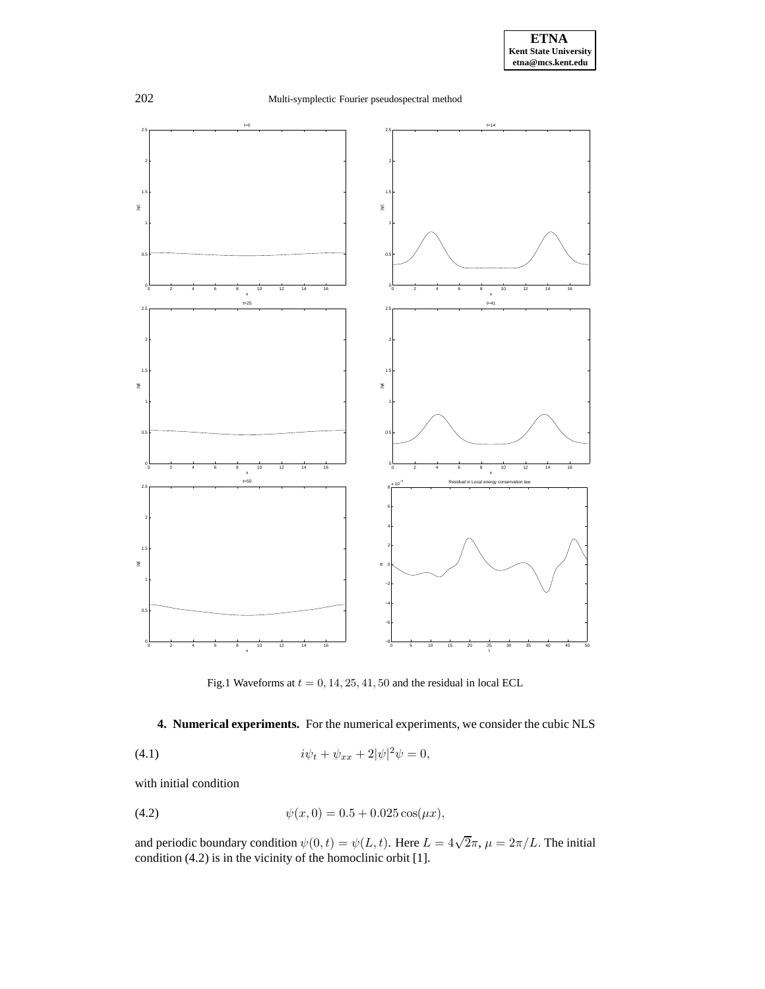

Fig.1 Waveforms at  $t = 0, 14, 25, 41, 50$  and the residual in local ECL

### **4. Numerical experiments.** For the numerical experiments, we consider the cubic NLS

(4.1) 
$$
i\psi_t + \psi_{xx} + 2|\psi|^2 \psi = 0,
$$

with initial condition

(4.2) 
$$
\psi(x,0) = 0.5 + 0.025 \cos(\mu x),
$$

and periodic boundary condition  $\psi(0, t) = \psi(L, t)$ . Here  $L = 4\sqrt{2}\pi$ ,  $\mu = 2\pi/L$ . The initial condition (4.2) is in the vicinity of the homoclinic orbit [1].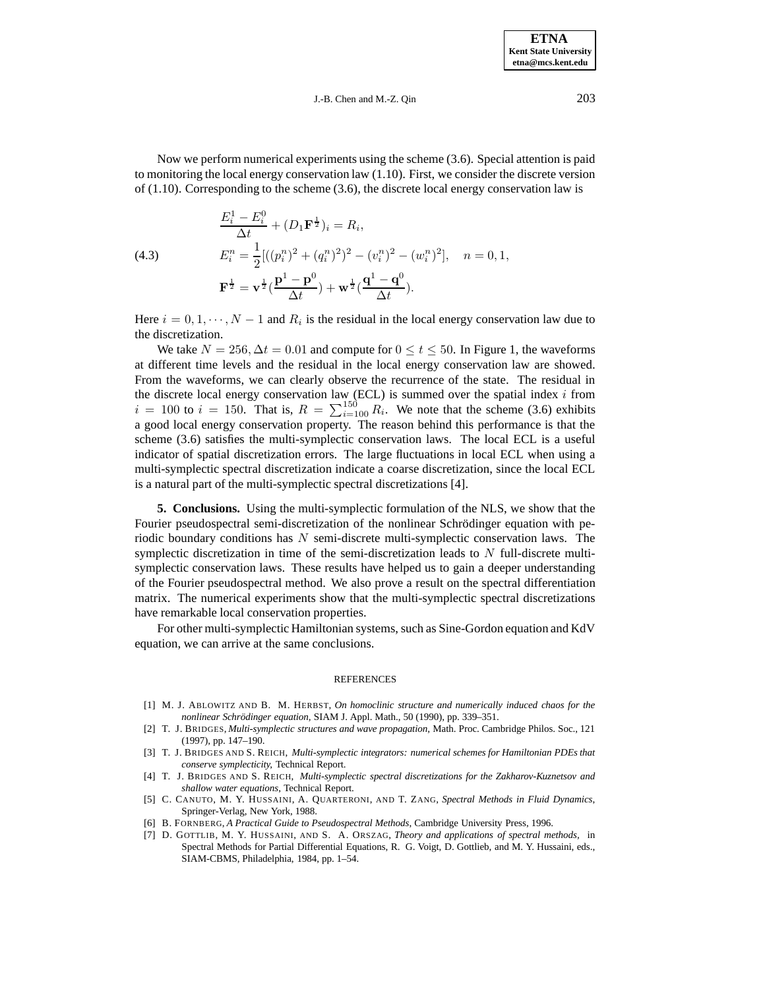J.-B. Chen and M.-Z. Qin 203

Now we perform numerical experiments using the scheme (3.6). Special attention is paid to monitoring the local energy conservation law (1.10). First, we consider the discrete version of (1.10). Corresponding to the scheme (3.6), the discrete local energy conservation law is

(4.3)  
\n
$$
\frac{E_i^1 - E_i^0}{\Delta t} + (D_1 \mathbf{F}^{\frac{1}{2}})_i = R_i,
$$
\n
$$
E_i^n = \frac{1}{2} [((p_i^n)^2 + (q_i^n)^2)^2 - (v_i^n)^2 - (w_i^n)^2], \quad n = 0, 1,
$$
\n
$$
\mathbf{F}^{\frac{1}{2}} = \mathbf{v}^{\frac{1}{2}} (\frac{\mathbf{p}^1 - \mathbf{p}^0}{\Delta t}) + \mathbf{w}^{\frac{1}{2}} (\frac{\mathbf{q}^1 - \mathbf{q}^0}{\Delta t}).
$$

Here  $i = 0, 1, \dots, N - 1$  and  $R_i$  is the residual in the local energy conservation law due to the discretization.

We take  $N = 256$ ,  $\Delta t = 0.01$  and compute for  $0 \le t \le 50$ . In Figure 1, the waveforms at different time levels and the residual in the local energy conservation law are showed. From the waveforms, we can clearly observe the recurrence of the state. The residual in the discrete local energy conservation law (ECL) is summed over the spatial index  $i$  from  $i = 100$  to  $i = 150$ . That is,  $R = \sum_{i=100}^{150} R_i$ . We note that the scheme (3.6) exhibits a good local energy conservation property. The reason behind this performance is that the scheme (3.6) satisfies the multi-symplectic conservation laws. The local ECL is a useful indicator of spatial discretization errors. The large fluctuations in local ECL when using a multi-symplectic spectral discretization indicate a coarse discretization, since the local ECL is a natural part of the multi-symplectic spectral discretizations [4].

**5. Conclusions.** Using the multi-symplectic formulation of the NLS, we show that the Fourier pseudospectral semi-discretization of the nonlinear Schrödinger equation with periodic boundary conditions has N semi-discrete multi-symplectic conservation laws. The symplectic discretization in time of the semi-discretization leads to N full-discrete multisymplectic conservation laws. These results have helped us to gain a deeper understanding of the Fourier pseudospectral method. We also prove a result on the spectral differentiation matrix. The numerical experiments show that the multi-symplectic spectral discretizations have remarkable local conservation properties.

For other multi-symplectic Hamiltonian systems, such as Sine-Gordon equation and KdV equation, we can arrive at the same conclusions.

#### REFERENCES

- [1] M. J. ABLOWITZ AND B. M. HERBST, *On homoclinic structure and numerically induced chaos for the nonlinear Schrödinger equation, SIAM J. Appl. Math., 50 (1990), pp. 339–351.*
- [2] T. J. BRIDGES, *Multi-symplectic structures and wave propagation,* Math. Proc. Cambridge Philos. Soc., 121 (1997), pp. 147–190.
- [3] T. J. BRIDGES AND S. REICH, *Multi-symplectic integrators: numerical schemes for Hamiltonian PDEs that conserve symplecticity,* Technical Report.
- [4] T. J. BRIDGES AND S. REICH, *Multi-symplectic spectral discretizations for the Zakharov-Kuznetsov and shallow water equations*, Technical Report.
- [5] C. CANUTO, M. Y. HUSSAINI, A. QUARTERONI, AND T. ZANG, *Spectral Methods in Fluid Dynamics*, Springer-Verlag, New York, 1988.
- [6] B. FORNBERG, *A Practical Guide to Pseudospectral Methods*, Cambridge University Press, 1996.
- [7] D. GOTTLIB, M. Y. HUSSAINI, AND S. A. ORSZAG, *Theory and applications of spectral methods,* in Spectral Methods for Partial Differential Equations, R. G. Voigt, D. Gottlieb, and M. Y. Hussaini, eds., SIAM-CBMS, Philadelphia, 1984, pp. 1–54.